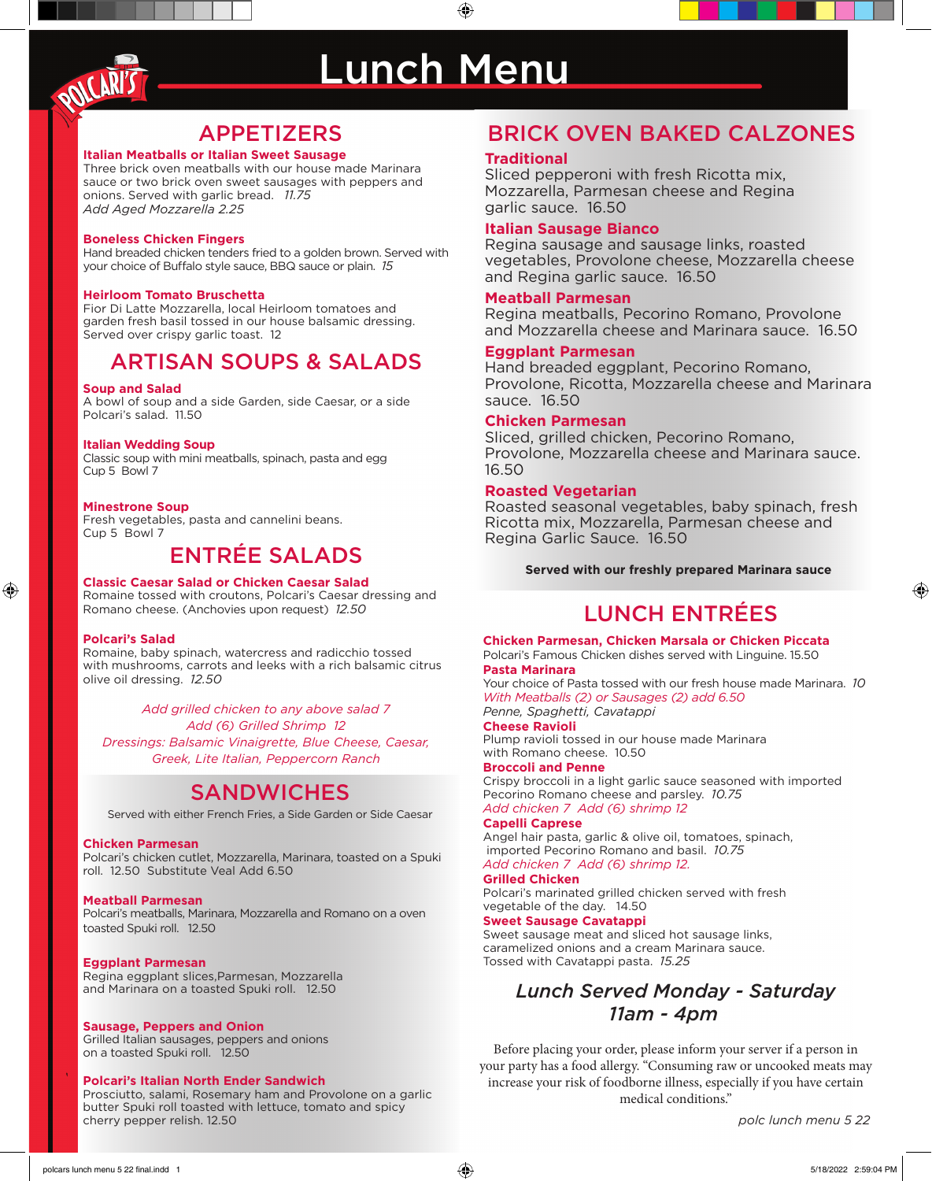

# Lunch Menu

⊕

# APPETIZERS

#### **Italian Meatballs or Italian Sweet Sausage**

Three brick oven meatballs with our house made Marinara sauce or two brick oven sweet sausages with peppers and onions. Served with garlic bread. *11.75 Add Aged Mozzarella 2.25*

#### **Boneless Chicken Fingers**

Hand breaded chicken tenders fried to a golden brown. Served with your choice of Buffalo style sauce, BBQ sauce or plain. *15*

#### **Heirloom Tomato Bruschetta**

Fior Di Latte Mozzarella, local Heirloom tomatoes and garden fresh basil tossed in our house balsamic dressing. Served over crispy garlic toast. 12

# ARTISAN SOUPS & SALADS

#### **Soup and Salad**

A bowl of soup and a side Garden, side Caesar, or a side Polcari's salad. 11.50

#### **Italian Wedding Soup**

Classic soup with mini meatballs, spinach, pasta and egg Cup 5 Bowl 7

#### **Minestrone Soup**

Fresh vegetables, pasta and cannelini beans. Cup 5 Bowl 7

# ENTRÉE SALADS

#### **Classic Caesar Salad or Chicken Caesar Salad**

Romaine tossed with croutons, Polcari's Caesar dressing and Romano cheese. (Anchovies upon request) *12.50*

#### **Polcari's Salad**

⊕

Romaine, baby spinach, watercress and radicchio tossed with mushrooms, carrots and leeks with a rich balsamic citrus olive oil dressing. *12.50*

*Add grilled chicken to any above salad 7 Add (6) Grilled Shrimp 12 Dressings: Balsamic Vinaigrette, Blue Cheese, Caesar, Greek, Lite Italian, Peppercorn Ranch*

# **SANDWICHES**

Served with either French Fries, a Side Garden or Side Caesar

#### **Chicken Parmesan**

Polcari's chicken cutlet, Mozzarella, Marinara, toasted on a Spuki roll. 12.50 Substitute Veal Add 6.50

#### **Meatball Parmesan**

Polcari's meatballs, Marinara, Mozzarella and Romano on a oven toasted Spuki roll. 12.50

#### **Eggplant Parmesan**

Regina eggplant slices,Parmesan, Mozzarella and Marinara on a toasted Spuki roll. 12.50

#### **Sausage, Peppers and Onion**

Grilled Italian sausages, peppers and onions on a toasted Spuki roll. 12.50

#### **Polcari's Italian North Ender Sandwich**

Prosciutto, salami, Rosemary ham and Provolone on a garlic butter Spuki roll toasted with lettuce, tomato and spicy cherry pepper relish. 12.50

# BRICK OVEN BAKED CALZONES

#### **Traditional**

Sliced pepperoni with fresh Ricotta mix, Mozzarella, Parmesan cheese and Regina garlic sauce. 16.50

#### **Italian Sausage Bianco**

Regina sausage and sausage links, roasted vegetables, Provolone cheese, Mozzarella cheese and Regina garlic sauce. 16.50

#### **Meatball Parmesan**

Regina meatballs, Pecorino Romano, Provolone and Mozzarella cheese and Marinara sauce. 16.50

#### **Eggplant Parmesan**

Hand breaded eggplant, Pecorino Romano, Provolone, Ricotta, Mozzarella cheese and Marinara sauce. 16.50

#### **Chicken Parmesan**

Sliced, grilled chicken, Pecorino Romano, Provolone, Mozzarella cheese and Marinara sauce. 16.50

#### **Roasted Vegetarian**

Roasted seasonal vegetables, baby spinach, fresh Ricotta mix, Mozzarella, Parmesan cheese and Regina Garlic Sauce. 16.50

**Served with our freshly prepared Marinara sauce** 

# LUNCH ENTRÉES

**Chicken Parmesan, Chicken Marsala or Chicken Piccata** Polcari's Famous Chicken dishes served with Linguine. 15.50 **Pasta Marinara**

Your choice of Pasta tossed with our fresh house made Marinara. *10 With Meatballs (2) or Sausages (2) add 6.50 Penne, Spaghetti, Cavatappi*

## **Cheese Ravioli**

Plump ravioli tossed in our house made Marinara with Romano cheese. 10.50

#### **Broccoli and Penne**

Crispy broccoli in a light garlic sauce seasoned with imported Pecorino Romano cheese and parsley. *10.75 Add chicken 7 Add (6) shrimp 12*

#### **Capelli Caprese**

Angel hair pasta, garlic & olive oil, tomatoes, spinach, imported Pecorino Romano and basil. *10.75 Add chicken 7 Add (6) shrimp 12.*

#### **Grilled Chicken**

Polcari's marinated grilled chicken served with fresh vegetable of the day. 14.50

#### **Sweet Sausage Cavatappi**

Sweet sausage meat and sliced hot sausage links, caramelized onions and a cream Marinara sauce. Tossed with Cavatappi pasta. *15.25*

# *Lunch Served Monday - Saturday 11am - 4pm*

Before placing your order, please inform your server if a person in your party has a food allergy. "Consuming raw or uncooked meats may increase your risk of foodborne illness, especially if you have certain medical conditions."

*polc lunch menu 5 22*